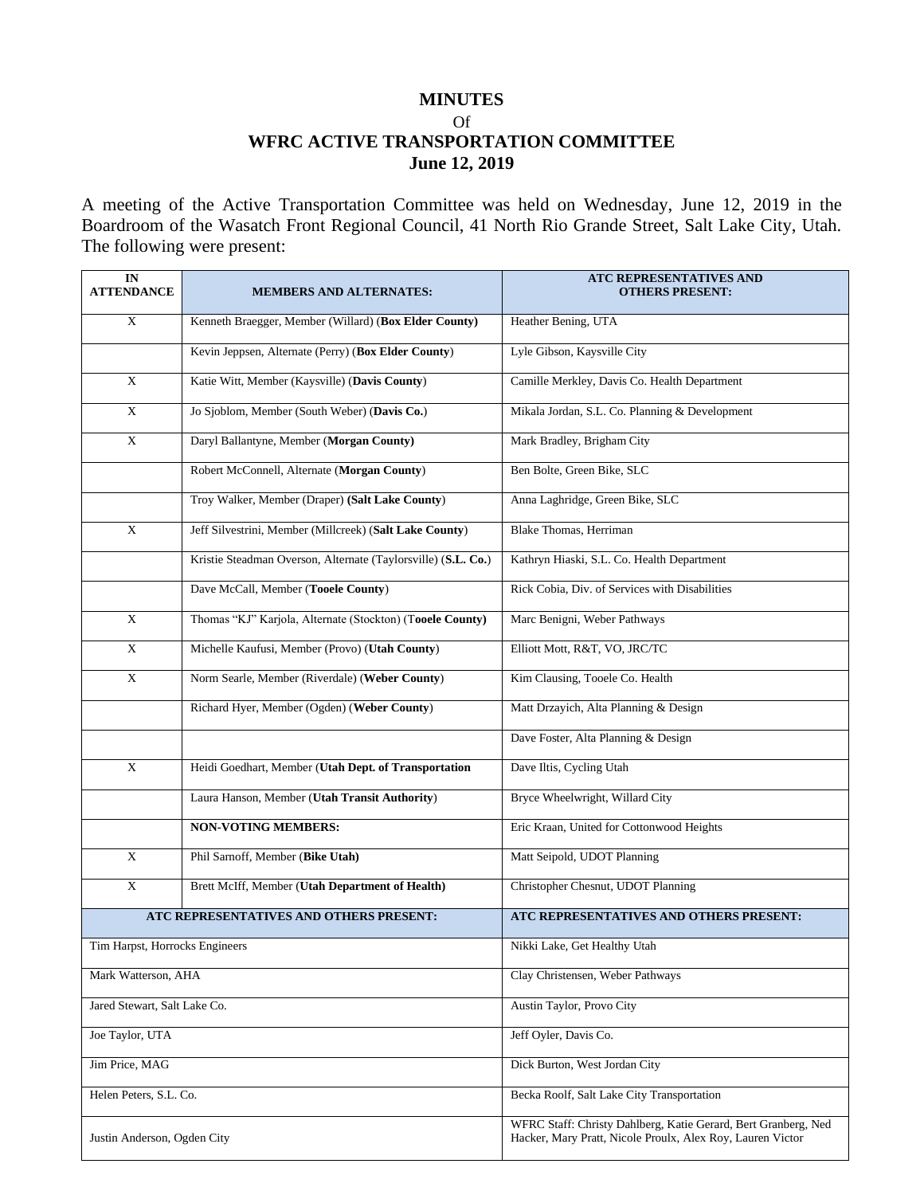### **MINUTES**

Of

# **WFRC ACTIVE TRANSPORTATION COMMITTEE June 12, 2019**

A meeting of the Active Transportation Committee was held on Wednesday, June 12, 2019 in the Boardroom of the Wasatch Front Regional Council, 41 North Rio Grande Street, Salt Lake City, Utah. The following were present:

| IN<br><b>ATTENDANCE</b>                 | <b>MEMBERS AND ALTERNATES:</b>                                | ATC REPRESENTATIVES AND<br>OTHERS PRESENT:                                                                                   |
|-----------------------------------------|---------------------------------------------------------------|------------------------------------------------------------------------------------------------------------------------------|
| $\mathbf X$                             | Kenneth Braegger, Member (Willard) (Box Elder County)         | Heather Bening, UTA                                                                                                          |
|                                         | Kevin Jeppsen, Alternate (Perry) (Box Elder County)           | Lyle Gibson, Kaysville City                                                                                                  |
| X                                       | Katie Witt, Member (Kaysville) (Davis County)                 | Camille Merkley, Davis Co. Health Department                                                                                 |
| X                                       | Jo Sjoblom, Member (South Weber) (Davis Co.)                  | Mikala Jordan, S.L. Co. Planning & Development                                                                               |
| $\mathbf X$                             | Daryl Ballantyne, Member (Morgan County)                      | Mark Bradley, Brigham City                                                                                                   |
|                                         | Robert McConnell, Alternate (Morgan County)                   | Ben Bolte, Green Bike, SLC                                                                                                   |
|                                         | Troy Walker, Member (Draper) (Salt Lake County)               | Anna Laghridge, Green Bike, SLC                                                                                              |
| $\overline{X}$                          | Jeff Silvestrini, Member (Millcreek) (Salt Lake County)       | <b>Blake Thomas</b> , Herriman                                                                                               |
|                                         | Kristie Steadman Overson, Alternate (Taylorsville) (S.L. Co.) | Kathryn Hiaski, S.L. Co. Health Department                                                                                   |
|                                         | Dave McCall, Member (Tooele County)                           | Rick Cobia, Div. of Services with Disabilities                                                                               |
| $\boldsymbol{\mathrm{X}}$               | Thomas "KJ" Karjola, Alternate (Stockton) (Tooele County)     | Marc Benigni, Weber Pathways                                                                                                 |
| $\mathbf X$                             | Michelle Kaufusi, Member (Provo) (Utah County)                | Elliott Mott, R&T, VO, JRC/TC                                                                                                |
| $\mathbf X$                             | Norm Searle, Member (Riverdale) (Weber County)                | Kim Clausing, Tooele Co. Health                                                                                              |
|                                         | Richard Hyer, Member (Ogden) (Weber County)                   | Matt Drzayich, Alta Planning & Design                                                                                        |
|                                         |                                                               | Dave Foster, Alta Planning & Design                                                                                          |
| $\mathbf X$                             | Heidi Goedhart, Member (Utah Dept. of Transportation          | Dave Iltis, Cycling Utah                                                                                                     |
|                                         | Laura Hanson, Member (Utah Transit Authority)                 | Bryce Wheelwright, Willard City                                                                                              |
|                                         | <b>NON-VOTING MEMBERS:</b>                                    | Eric Kraan, United for Cottonwood Heights                                                                                    |
| $\overline{X}$                          | Phil Sarnoff, Member (Bike Utah)                              | Matt Seipold, UDOT Planning                                                                                                  |
| X                                       | Brett McIff, Member (Utah Department of Health)               | Christopher Chesnut, UDOT Planning                                                                                           |
| ATC REPRESENTATIVES AND OTHERS PRESENT: |                                                               | ATC REPRESENTATIVES AND OTHERS PRESENT:                                                                                      |
| Tim Harpst, Horrocks Engineers          |                                                               | Nikki Lake, Get Healthy Utah                                                                                                 |
| Mark Watterson, AHA                     |                                                               | Clay Christensen, Weber Pathways                                                                                             |
| Jared Stewart, Salt Lake Co.            |                                                               | Austin Taylor, Provo City                                                                                                    |
| Joe Taylor, UTA                         |                                                               | Jeff Oyler, Davis Co.                                                                                                        |
| Jim Price, MAG                          |                                                               | Dick Burton, West Jordan City                                                                                                |
| Helen Peters, S.L. Co.                  |                                                               | Becka Roolf, Salt Lake City Transportation                                                                                   |
| Justin Anderson, Ogden City             |                                                               | WFRC Staff: Christy Dahlberg, Katie Gerard, Bert Granberg, Ned<br>Hacker, Mary Pratt, Nicole Proulx, Alex Roy, Lauren Victor |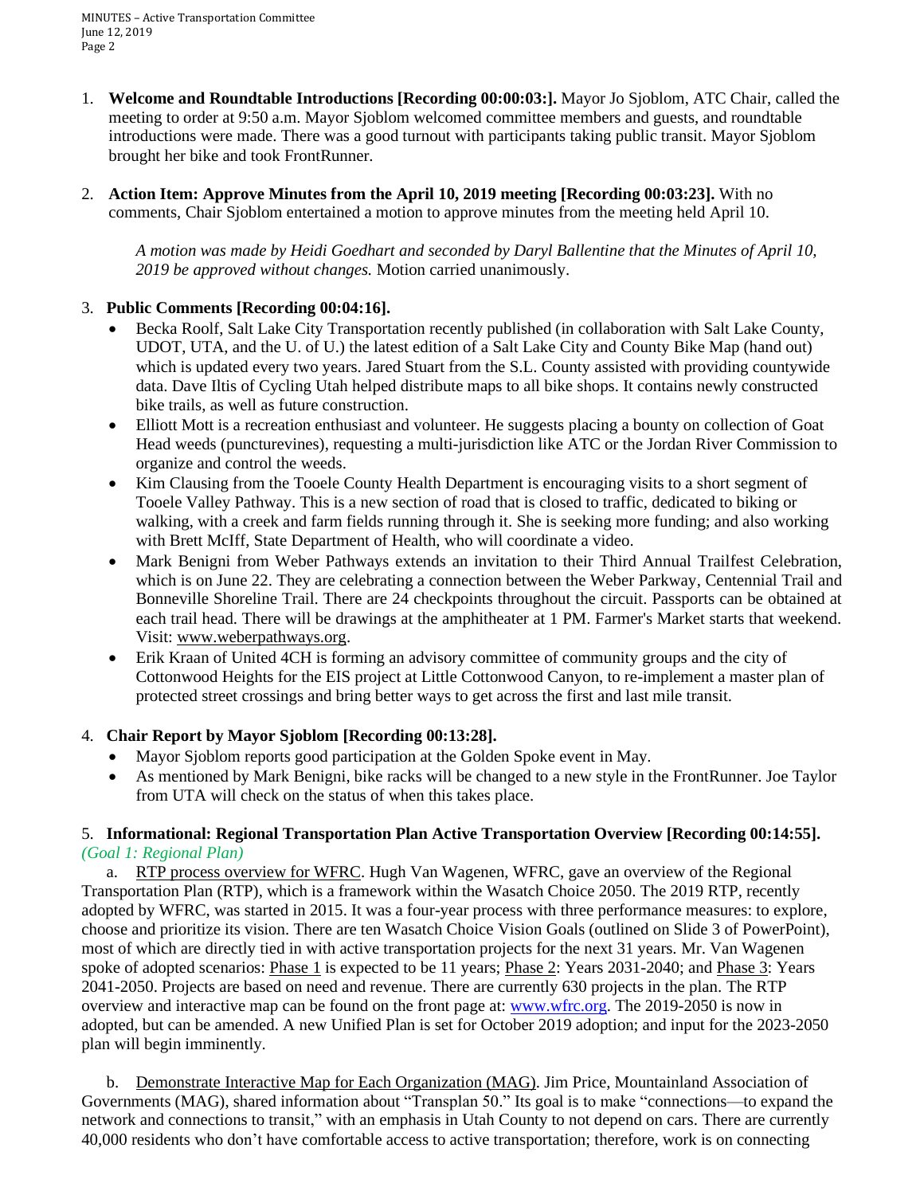MINUTES – Active Transportation Committee June 12, 2019 Page 2

- 1. **Welcome and Roundtable Introductions [Recording 00:00:03:].** Mayor Jo Sjoblom, ATC Chair, called the meeting to order at 9:50 a.m. Mayor Sjoblom welcomed committee members and guests, and roundtable introductions were made. There was a good turnout with participants taking public transit. Mayor Sjoblom brought her bike and took FrontRunner.
- 2. **Action Item: Approve Minutes from the April 10, 2019 meeting [Recording 00:03:23].** With no comments, Chair Sjoblom entertained a motion to approve minutes from the meeting held April 10.

*A motion was made by Heidi Goedhart and seconded by Daryl Ballentine that the Minutes of April 10, 2019 be approved without changes.* Motion carried unanimously.

## 3. **Public Comments [Recording 00:04:16].**

- Becka Roolf, Salt Lake City Transportation recently published (in collaboration with Salt Lake County, UDOT, UTA, and the U. of U.) the latest edition of a Salt Lake City and County Bike Map (hand out) which is updated every two years. Jared Stuart from the S.L. County assisted with providing countywide data. Dave Iltis of Cycling Utah helped distribute maps to all bike shops. It contains newly constructed bike trails, as well as future construction.
- Elliott Mott is a recreation enthusiast and volunteer. He suggests placing a bounty on collection of Goat Head weeds (puncturevines), requesting a multi-jurisdiction like ATC or the Jordan River Commission to organize and control the weeds.
- Kim Clausing from the Tooele County Health Department is encouraging visits to a short segment of Tooele Valley Pathway. This is a new section of road that is closed to traffic, dedicated to biking or walking, with a creek and farm fields running through it. She is seeking more funding; and also working with Brett McIff, State Department of Health, who will coordinate a video.
- Mark Benigni from Weber Pathways extends an invitation to their Third Annual Trailfest Celebration, which is on June 22. They are celebrating a connection between the Weber Parkway, Centennial Trail and Bonneville Shoreline Trail. There are 24 checkpoints throughout the circuit. Passports can be obtained at each trail head. There will be drawings at the amphitheater at 1 PM. Farmer's Market starts that weekend. Visit: www.weberpathways.org.
- Erik Kraan of United 4CH is forming an advisory committee of community groups and the city of Cottonwood Heights for the EIS project at Little Cottonwood Canyon, to re-implement a master plan of protected street crossings and bring better ways to get across the first and last mile transit.

## 4. **Chair Report by Mayor Sjoblom [Recording 00:13:28].**

- Mayor Sjoblom reports good participation at the Golden Spoke event in May.
- As mentioned by Mark Benigni, bike racks will be changed to a new style in the FrontRunner. Joe Taylor from UTA will check on the status of when this takes place.

### 5. **Informational: Regional Transportation Plan Active Transportation Overview [Recording 00:14:55].** *(Goal 1: Regional Plan)*

 a. RTP process overview for WFRC. Hugh Van Wagenen, WFRC, gave an overview of the Regional Transportation Plan (RTP), which is a framework within the Wasatch Choice 2050. The 2019 RTP, recently adopted by WFRC, was started in 2015. It was a four-year process with three performance measures: to explore, choose and prioritize its vision. There are ten Wasatch Choice Vision Goals (outlined on Slide 3 of PowerPoint), most of which are directly tied in with active transportation projects for the next 31 years. Mr. Van Wagenen spoke of adopted scenarios: Phase 1 is expected to be 11 years; Phase 2: Years 2031-2040; and Phase 3: Years 2041-2050. Projects are based on need and revenue. There are currently 630 projects in the plan. The RTP overview and interactive map can be found on the front page at: [www.wfrc.org.](http://www.wfrc.org/) The 2019-2050 is now in adopted, but can be amended. A new Unified Plan is set for October 2019 adoption; and input for the 2023-2050 plan will begin imminently.

 b. Demonstrate Interactive Map for Each Organization (MAG). Jim Price, Mountainland Association of Governments (MAG), shared information about "Transplan 50." Its goal is to make "connections—to expand the network and connections to transit," with an emphasis in Utah County to not depend on cars. There are currently 40,000 residents who don't have comfortable access to active transportation; therefore, work is on connecting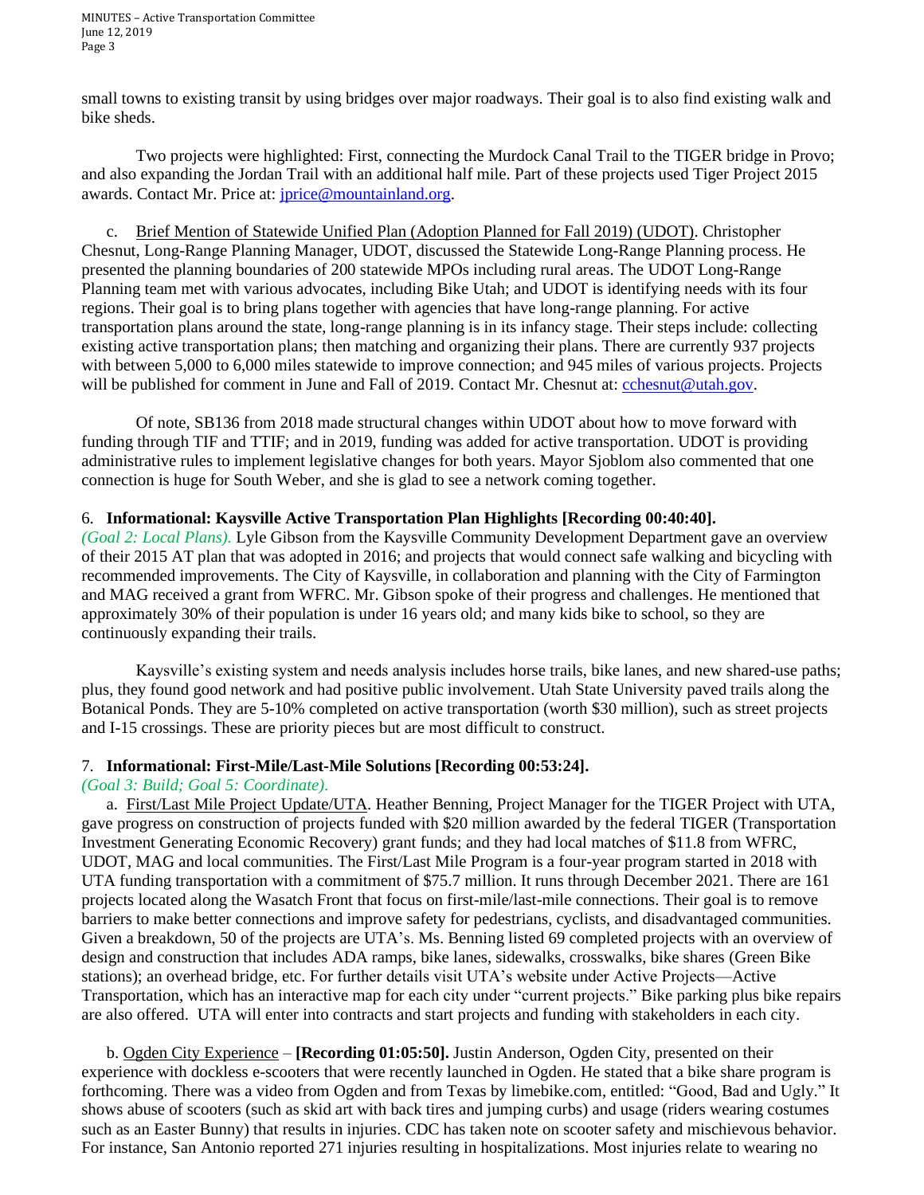MINUTES – Active Transportation Committee June 12, 2019 Page 3

small towns to existing transit by using bridges over major roadways. Their goal is to also find existing walk and bike sheds.

Two projects were highlighted: First, connecting the Murdock Canal Trail to the TIGER bridge in Provo; and also expanding the Jordan Trail with an additional half mile. Part of these projects used Tiger Project 2015 awards. Contact Mr. Price at: [jprice@mountainland.org.](mailto:jprice@mountainland.org)

 c. Brief Mention of Statewide Unified Plan (Adoption Planned for Fall 2019) (UDOT). Christopher Chesnut, Long-Range Planning Manager, UDOT, discussed the Statewide Long-Range Planning process. He presented the planning boundaries of 200 statewide MPOs including rural areas. The UDOT Long-Range Planning team met with various advocates, including Bike Utah; and UDOT is identifying needs with its four regions. Their goal is to bring plans together with agencies that have long-range planning. For active transportation plans around the state, long-range planning is in its infancy stage. Their steps include: collecting existing active transportation plans; then matching and organizing their plans. There are currently 937 projects with between 5,000 to 6,000 miles statewide to improve connection; and 945 miles of various projects. Projects will be published for comment in June and Fall of 2019. Contact Mr. Chesnut at: [cchesnut@utah.gov.](mailto:cchesnut@utah.gov)

Of note, SB136 from 2018 made structural changes within UDOT about how to move forward with funding through TIF and TTIF; and in 2019, funding was added for active transportation. UDOT is providing administrative rules to implement legislative changes for both years. Mayor Sjoblom also commented that one connection is huge for South Weber, and she is glad to see a network coming together.

### 6. **Informational: Kaysville Active Transportation Plan Highlights [Recording 00:40:40].**

*(Goal 2: Local Plans).* Lyle Gibson from the Kaysville Community Development Department gave an overview of their 2015 AT plan that was adopted in 2016; and projects that would connect safe walking and bicycling with recommended improvements. The City of Kaysville, in collaboration and planning with the City of Farmington and MAG received a grant from WFRC. Mr. Gibson spoke of their progress and challenges. He mentioned that approximately 30% of their population is under 16 years old; and many kids bike to school, so they are continuously expanding their trails.

Kaysville's existing system and needs analysis includes horse trails, bike lanes, and new shared-use paths; plus, they found good network and had positive public involvement. Utah State University paved trails along the Botanical Ponds. They are 5-10% completed on active transportation (worth \$30 million), such as street projects and I-15 crossings. These are priority pieces but are most difficult to construct.

### 7. **Informational: First-Mile/Last-Mile Solutions [Recording 00:53:24].**

### *(Goal 3: Build; Goal 5: Coordinate).*

 a. First/Last Mile Project Update/UTA. Heather Benning, Project Manager for the TIGER Project with UTA, gave progress on construction of projects funded with \$20 million awarded by the federal TIGER (Transportation Investment Generating Economic Recovery) grant funds; and they had local matches of \$11.8 from WFRC, UDOT, MAG and local communities. The First/Last Mile Program is a four-year program started in 2018 with UTA funding transportation with a commitment of \$75.7 million. It runs through December 2021. There are 161 projects located along the Wasatch Front that focus on first-mile/last-mile connections. Their goal is to remove barriers to make better connections and improve safety for pedestrians, cyclists, and disadvantaged communities. Given a breakdown, 50 of the projects are UTA's. Ms. Benning listed 69 completed projects with an overview of design and construction that includes ADA ramps, bike lanes, sidewalks, crosswalks, bike shares (Green Bike stations); an overhead bridge, etc. For further details visit UTA's website under Active Projects—Active Transportation, which has an interactive map for each city under "current projects." Bike parking plus bike repairs are also offered. UTA will enter into contracts and start projects and funding with stakeholders in each city.

 b. Ogden City Experience – **[Recording 01:05:50].** Justin Anderson, Ogden City, presented on their experience with dockless e-scooters that were recently launched in Ogden. He stated that a bike share program is forthcoming. There was a video from Ogden and from Texas by limebike.com, entitled: "Good, Bad and Ugly." It shows abuse of scooters (such as skid art with back tires and jumping curbs) and usage (riders wearing costumes such as an Easter Bunny) that results in injuries. CDC has taken note on scooter safety and mischievous behavior. For instance, San Antonio reported 271 injuries resulting in hospitalizations. Most injuries relate to wearing no